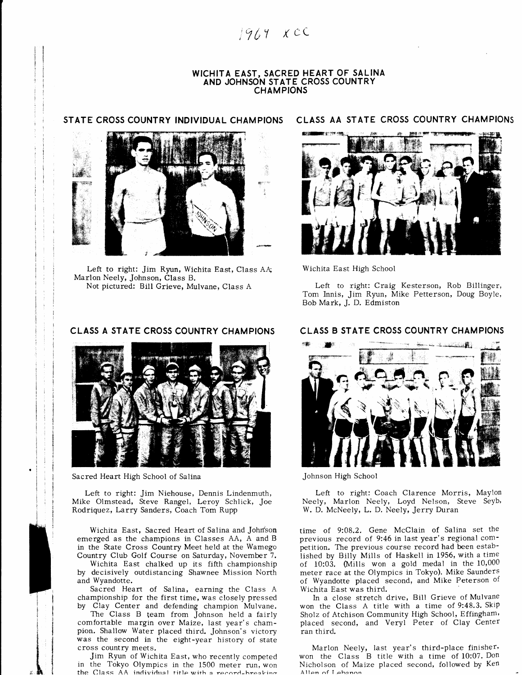$1964$  xcc

### WICHITA EAST, SACRED HEART OF SALINA AND JOHNSON STATE CROSS COUNTRY **CHAMPIONS**

### STATE CROSS COUNTRY INDIVIDUAL CHAMPIONS



Left to right: Jim Ryun, Wichita East, Class AA; Marlon Neely, Johnson, Class B. Not pictured: Bill Grieve, Mulvane, Class A

# CLASS A STATE CROSS COUNTRY CHAMPIONS



Sacred Heart High School of Salina

I T

.h

Left to right: Jim Niehouse, Dennis Lindenmuth, Mike Olmstead, Steve Rangel, Leroy Schlick, Joe Rodriquez, Larry Sanders, Coach Tom Rupp

Wichita East, Sacred Heart of Salina and Johnson emerged as the champions in Classes AA, A and B in the State Cross Country Meet held at the Wamego Country Club Golf Course on Saturday, November 7.

Wichita East chalked up its fifth championship by decisively outdistancing Shawnee Mission North and Wyandotte.

Sacred Heart of Salina, earning the Class A championship for the first time, was closely pressed by Clay Center and defending champion Mulvane.

The Class B team from Johnson held a fairly comfortable margin over Maize, last year's champion. Shallow Water placed third. Johnson's victory was the second in the eight-year history of state cross country meets.

Jim Ryun of Wichita Easr, who recently competed in the Tokyo Olympics in the 1500 meter run, won the Class  $AA$  individual title with a record-hreaking

### CLASS AA STATE CROSS COUNTRY CHAMPIONS



Wichita East High School

Left to right: Craig Kesterson, Rob Billinger, Tom Innis, Jim Ryun, Mike Petterson, Doug Boyle, Bob Mark, J. D. Edmiston

# CLASS B STATE CROSS COUNTRY CHAM PIONS



Johnson High School

Left to right: Coach Clarence Morris, Maylon Neely, Marlon Neely, Loyd Nelson, Steve Seyb, W. D. McNeely, L. D. Neely, Jerry Duran

time of 9:08.2. Gene McClain of Salina set the previous record of 9:46 in last year's regional competition. The previous course record had been established by Billy Mills of Haskell in 1956, with a time of 10:03. (Mills won a gold medal in the  $10,000$ meter race at the Olympics in Tokyo). Mike Saunders of Wyandotte placed second, and Mike Peterson of Wichita East was third.

In a close stretch drive, Bill Grieve of Mulvane won the Class A title with a time of 9:48,3. Skip Sholz of Atchison Community High School, Effingham' placed second, and Veryl Peter of Clay Center ran third.

Marlon Neely, last year's third-place finishef' won the Class B title with a time of 10:07. Don Nicholson of Maize placed second, followed by Ken Allpn nf T.phannn